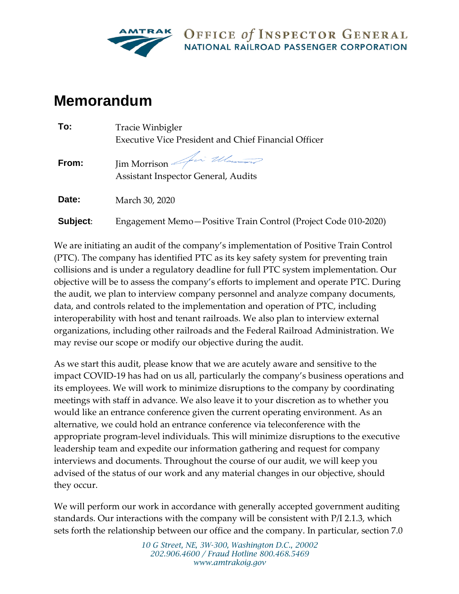

OFFICE of INSPECTOR GENERAL **NATIONAL RAILROAD PASSENGER CORPORATION** 

## **Memorandum**

| To:      | Tracie Winbigler                                                      |
|----------|-----------------------------------------------------------------------|
|          | <b>Executive Vice President and Chief Financial Officer</b>           |
| From:    | Jim Morrison <i>for Ulaman</i><br>Assistant Inspector General, Audits |
| Date:    | March 30, 2020                                                        |
| Subject: | Engagement Memo-Positive Train Control (Project Code 010-2020)        |

We are initiating an audit of the company's implementation of Positive Train Control (PTC). The company has identified PTC as its key safety system for preventing train collisions and is under a regulatory deadline for full PTC system implementation. Our objective will be to assess the company's efforts to implement and operate PTC. During the audit, we plan to interview company personnel and analyze company documents, data, and controls related to the implementation and operation of PTC, including interoperability with host and tenant railroads. We also plan to interview external organizations, including other railroads and the Federal Railroad Administration. We may revise our scope or modify our objective during the audit.

As we start this audit, please know that we are acutely aware and sensitive to the impact COVID-19 has had on us all, particularly the company's business operations and its employees. We will work to minimize disruptions to the company by coordinating meetings with staff in advance. We also leave it to your discretion as to whether you would like an entrance conference given the current operating environment. As an alternative, we could hold an entrance conference via teleconference with the appropriate program-level individuals. This will minimize disruptions to the executive leadership team and expedite our information gathering and request for company interviews and documents. Throughout the course of our audit, we will keep you advised of the status of our work and any material changes in our objective, should they occur.

We will perform our work in accordance with generally accepted government auditing standards. Our interactions with the company will be consistent with P/I 2.1.3, which sets forth the relationship between our office and the company. In particular, section 7.0

> *10 G Street, NE, 3W-300, Washington D.C., 20002 202.906.4600 / Fraud Hotline 800.468.5469 www.amtrakoig.gov*